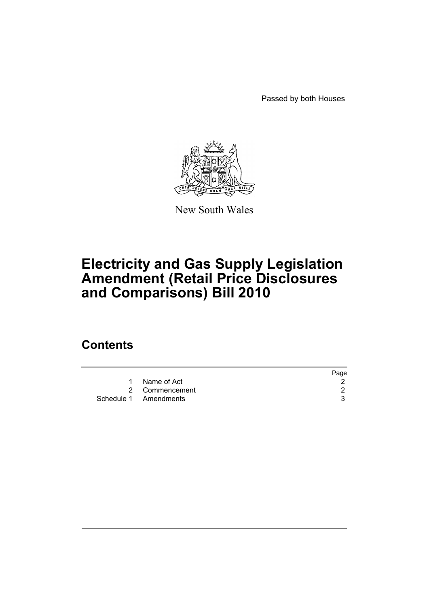Passed by both Houses



New South Wales

# **Electricity and Gas Supply Legislation Amendment (Retail Price Disclosures and Comparisons) Bill 2010**

### **Contents**

|                       | Page |
|-----------------------|------|
| 1 Name of Act         |      |
| 2 Commencement        |      |
| Schedule 1 Amendments |      |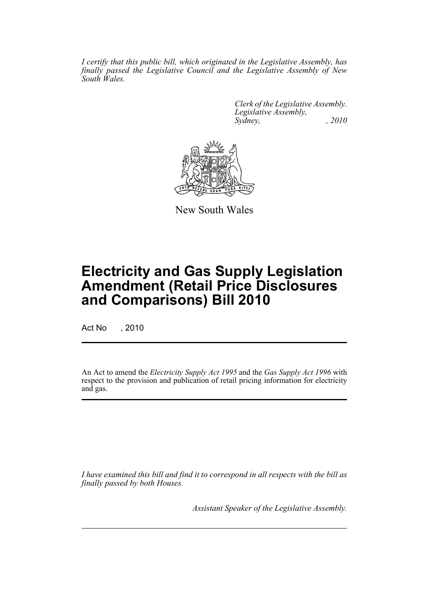*I certify that this public bill, which originated in the Legislative Assembly, has finally passed the Legislative Council and the Legislative Assembly of New South Wales.*

> *Clerk of the Legislative Assembly. Legislative Assembly, Sydney, , 2010*



New South Wales

## **Electricity and Gas Supply Legislation Amendment (Retail Price Disclosures and Comparisons) Bill 2010**

Act No , 2010

An Act to amend the *Electricity Supply Act 1995* and the *Gas Supply Act 1996* with respect to the provision and publication of retail pricing information for electricity and gas.

*I have examined this bill and find it to correspond in all respects with the bill as finally passed by both Houses.*

*Assistant Speaker of the Legislative Assembly.*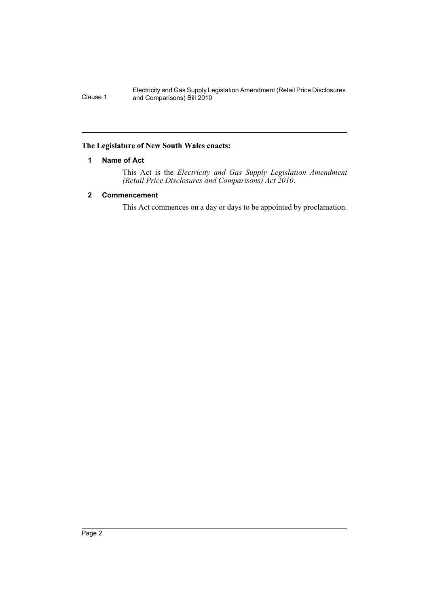Electricity and Gas Supply Legislation Amendment (Retail Price Disclosures Clause 1 and Comparisons) Bill 2010

#### <span id="page-2-0"></span>**The Legislature of New South Wales enacts:**

#### **1 Name of Act**

This Act is the *Electricity and Gas Supply Legislation Amendment (Retail Price Disclosures and Comparisons) Act 2010*.

#### <span id="page-2-1"></span>**2 Commencement**

This Act commences on a day or days to be appointed by proclamation.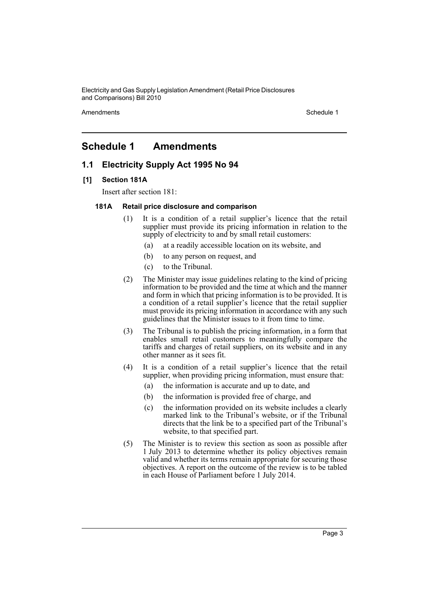Electricity and Gas Supply Legislation Amendment (Retail Price Disclosures and Comparisons) Bill 2010

Amendments **Amendments** Schedule 1

### <span id="page-3-0"></span>**Schedule 1 Amendments**

#### **1.1 Electricity Supply Act 1995 No 94**

#### **[1] Section 181A**

Insert after section 181:

#### **181A Retail price disclosure and comparison**

- (1) It is a condition of a retail supplier's licence that the retail supplier must provide its pricing information in relation to the supply of electricity to and by small retail customers:
	- (a) at a readily accessible location on its website, and
	- (b) to any person on request, and
	- (c) to the Tribunal.
- (2) The Minister may issue guidelines relating to the kind of pricing information to be provided and the time at which and the manner and form in which that pricing information is to be provided. It is a condition of a retail supplier's licence that the retail supplier must provide its pricing information in accordance with any such guidelines that the Minister issues to it from time to time.
- (3) The Tribunal is to publish the pricing information, in a form that enables small retail customers to meaningfully compare the tariffs and charges of retail suppliers, on its website and in any other manner as it sees fit.
- (4) It is a condition of a retail supplier's licence that the retail supplier, when providing pricing information, must ensure that:
	- (a) the information is accurate and up to date, and
	- (b) the information is provided free of charge, and
	- (c) the information provided on its website includes a clearly marked link to the Tribunal's website, or if the Tribunal directs that the link be to a specified part of the Tribunal's website, to that specified part.
- (5) The Minister is to review this section as soon as possible after 1 July 2013 to determine whether its policy objectives remain valid and whether its terms remain appropriate for securing those objectives. A report on the outcome of the review is to be tabled in each House of Parliament before 1 July 2014.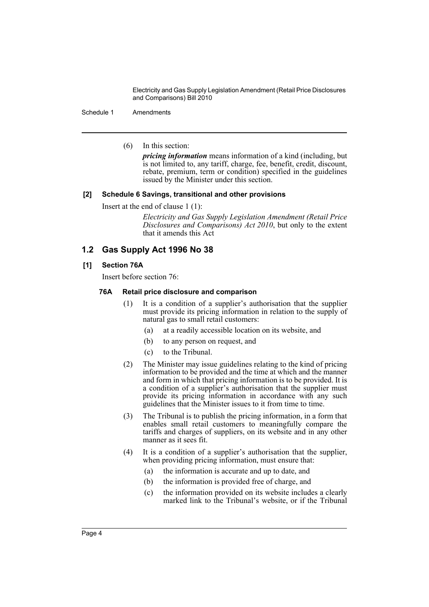Electricity and Gas Supply Legislation Amendment (Retail Price Disclosures and Comparisons) Bill 2010

Schedule 1 Amendments

(6) In this section:

*pricing information* means information of a kind (including, but is not limited to, any tariff, charge, fee, benefit, credit, discount, rebate, premium, term or condition) specified in the guidelines issued by the Minister under this section.

#### **[2] Schedule 6 Savings, transitional and other provisions**

Insert at the end of clause 1 (1):

*Electricity and Gas Supply Legislation Amendment (Retail Price Disclosures and Comparisons) Act 2010*, but only to the extent that it amends this Act

#### **1.2 Gas Supply Act 1996 No 38**

#### **[1] Section 76A**

Insert before section 76:

#### **76A Retail price disclosure and comparison**

- (1) It is a condition of a supplier's authorisation that the supplier must provide its pricing information in relation to the supply of natural gas to small retail customers:
	- (a) at a readily accessible location on its website, and
	- (b) to any person on request, and
	- (c) to the Tribunal.
- (2) The Minister may issue guidelines relating to the kind of pricing information to be provided and the time at which and the manner and form in which that pricing information is to be provided. It is a condition of a supplier's authorisation that the supplier must provide its pricing information in accordance with any such guidelines that the Minister issues to it from time to time.
- (3) The Tribunal is to publish the pricing information, in a form that enables small retail customers to meaningfully compare the tariffs and charges of suppliers, on its website and in any other manner as it sees fit.
- (4) It is a condition of a supplier's authorisation that the supplier, when providing pricing information, must ensure that:
	- (a) the information is accurate and up to date, and
	- (b) the information is provided free of charge, and
	- (c) the information provided on its website includes a clearly marked link to the Tribunal's website, or if the Tribunal